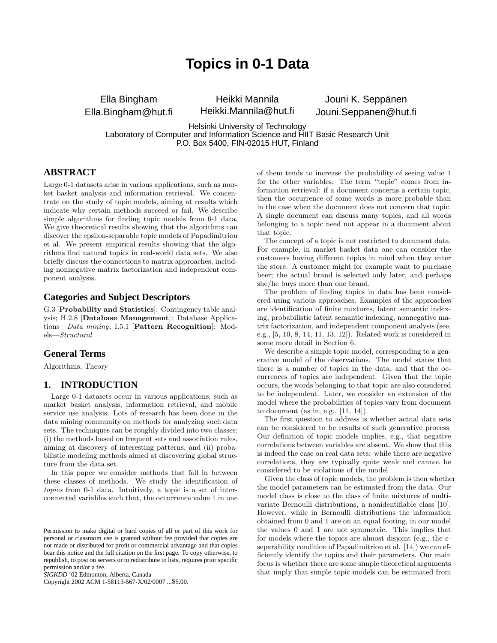# **Topics in 0-1 Data**

Ella Bingham Ella.Bingham@hut.fi

Heikki Mannila Heikki.Mannila@hut.fi

Jouni K. Seppänen Jouni.Seppanen@hut.fi

Helsinki University of Technology Laboratory of Computer and Information Science and HIIT Basic Research Unit P.O. Box 5400, FIN-02015 HUT, Finland

# **ABSTRACT**

Large 0-1 datasets arise in various applications, such as market basket analysis and information retrieval. We concentrate on the study of topic models, aiming at results which indicate why certain methods succeed or fail. We describe simple algorithms for finding topic models from 0-1 data. We give theoretical results showing that the algorithms can discover the epsilon-separable topic models of Papadimitriou et al. We present empirical results showing that the algorithms find natural topics in real-world data sets. We also briefly discuss the connections to matrix approaches, including nonnegative matrix factorization and independent component analysis.

#### **Categories and Subject Descriptors**

G.3 [Probability and Statistics]: Contingency table analysis; H.2.8 [Database Management]: Database Applications—Data mining; I.5.1 [Pattern Recognition]: Models—Structural

#### **General Terms**

Algorithms, Theory

#### **1. INTRODUCTION**

Large 0-1 datasets occur in various applications, such as market basket analysis, information retrieval, and mobile service use analysis. Lots of research has been done in the data mining community on methods for analyzing such data sets. The techniques can be roughly divided into two classes: (i) the methods based on frequent sets and association rules, aiming at discovery of interesting patterns, and (ii) probabilistic modeling methods aimed at discovering global structure from the data set.

In this paper we consider methods that fall in between these classes of methods. We study the identification of topics from 0-1 data. Intuitively, a topic is a set of interconnected variables such that, the occurrence value 1 in one

*SIGKDD* '02 Edmonton, Alberta, Canada

Copyright 2002 ACM 1-58113-567-X/02/0007 ...\$5.00.

of them tends to increase the probability of seeing value 1 for the other variables. The term "topic" comes from information retrieval: if a document concerns a certain topic, then the occurrence of some words is more probable than in the case when the document does not concern that topic. A single document can discuss many topics, and all words belonging to a topic need not appear in a document about that topic.

The concept of a topic is not restricted to document data. For example, in market basket data one can consider the customers having different topics in mind when they enter the store. A customer might for example want to purchase beer; the actual brand is selected only later, and perhaps she/he buys more than one brand.

The problem of finding topics in data has been considered using various approaches. Examples of the approaches are identification of finite mixtures, latent semantic indexing, probabilistic latent semantic indexing, nonnegative matrix factorization, and independent component analysis (see, e.g., [5, 10, 8, 14, 11, 13, 12]). Related work is considered in some more detail in Section 6.

We describe a simple topic model, corresponding to a generative model of the observations. The model states that there is a number of topics in the data, and that the occurrences of topics are independent. Given that the topic occurs, the words belonging to that topic are also considered to be independent. Later, we consider an extension of the model where the probabilities of topics vary from document to document (as in, e.g., [11, 14]).

The first question to address is whether actual data sets can be considered to be results of such generative process. Our definition of topic models implies, e.g., that negative correlations between variables are absent. We show that this is indeed the case on real data sets: while there are negative correlations, they are typically quite weak and cannot be considered to be violations of the model.

Given the class of topic models, the problem is then whether the model parameters can be estimated from the data. Our model class is close to the class of finite mixtures of multivariate Bernoulli distributions, a nonidentifiable class [10]. However, while in Bernoulli distributions the information obtained from 0 and 1 are on an equal footing, in our model the values 0 and 1 are not symmetric. This implies that for models where the topics are almost disjoint (e.g., the  $\varepsilon$ separability condition of Papadimitriou et al. [14]) we can efficiently identify the topics and their parameters. Our main focus is whether there are some simple theoretical arguments that imply that simple topic models can be estimated from

Permission to make digital or hard copies of all or part of this work for personal or classroom use is granted without fee provided that copies are not made or distributed for profit or commercial advantage and that copies bear this notice and the full citation on the first page. To copy otherwise, to republish, to post on servers or to redistribute to lists, requires prior specific permission and/or a fee.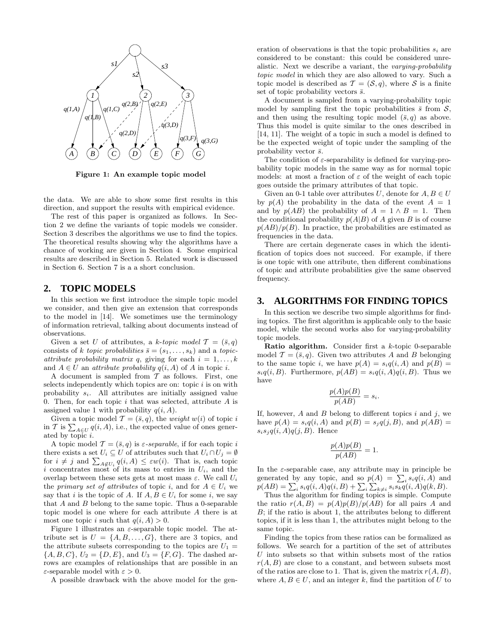

Figure 1: An example topic model

the data. We are able to show some first results in this direction, and support the results with empirical evidence.

The rest of this paper is organized as follows. In Section 2 we define the variants of topic models we consider. Section 3 describes the algorithms we use to find the topics. The theoretical results showing why the algorithms have a chance of working are given in Section 4. Some empirical results are described in Section 5. Related work is discussed in Section 6. Section 7 is a a short conclusion.

#### **2. TOPIC MODELS**

In this section we first introduce the simple topic model we consider, and then give an extension that corresponds to the model in [14]. We sometimes use the terminology of information retrieval, talking about documents instead of observations.

Given a set U of attributes, a k-topic model  $\mathcal{T} = (\bar{s}, q)$ consists of k topic probabilities  $\bar{s} = (s_1, \ldots, s_k)$  and a topicattribute probability matrix q, giving for each  $i = 1, \ldots, k$ and  $A \in U$  an *attribute probability*  $q(i, A)$  of A in topic *i*.

A document is sampled from  $\mathcal T$  as follows. First, one selects independently which topics are on: topic  $i$  is on with probability  $s_i$ . All attributes are initially assigned value 0. Then, for each topic  $i$  that was selected, attribute  $A$  is assigned value 1 with probability  $q(i, A)$ .

Given a topic model  $\mathcal{T} = (\bar{s}, q)$ , the *weight*  $w(i)$  of topic i in T is  $\sum_{A\in U} q(i, A)$ , i.e., the expected value of ones generated by topic i.

A topic model  $\mathcal{T} = (\bar{s}, q)$  is  $\varepsilon$ -separable, if for each topic i there exists a set  $U_i \subseteq U$  of attributes such that  $U_i \cap U_j = \emptyset$ for  $i \neq j$  and  $\sum_{A \notin U_i} q(i, A) \leq \varepsilon w(i)$ . That is, each topic i concentrates most of its mass to entries in  $U_i$ , and the overlap between these sets gets at most mass  $\varepsilon$ . We call  $U_i$ the *primary set of attributes* of topic *i*, and for  $A \in U_i$  we say that i is the topic of A. If  $A, B \in U_i$  for some i, we say that  $A$  and  $B$  belong to the same topic. Thus a 0-separable topic model is one where for each attribute A there is at most one topic i such that  $q(i, A) > 0$ .

Figure 1 illustrates an  $\varepsilon$ -separable topic model. The attribute set is  $U = \{A, B, \ldots, G\}$ , there are 3 topics, and the attribute subsets corresponding to the topics are  $U_1 =$  ${A, B, C}$ ,  $U_2 = {D, E}$ , and  $U_3 = {F, G}$ . The dashed arrows are examples of relationships that are possible in an  $\varepsilon$ -separable model with  $\varepsilon > 0$ .

A possible drawback with the above model for the gen-

eration of observations is that the topic probabilities  $s_i$  are considered to be constant: this could be considered unrealistic. Next we describe a variant, the varying-probability topic model in which they are also allowed to vary. Such a topic model is described as  $\mathcal{T} = (\mathcal{S}, q)$ , where  $\mathcal{S}$  is a finite set of topic probability vectors  $\bar{s}$ .

A document is sampled from a varying-probability topic model by sampling first the topic probabilities  $\bar{s}$  from  $\mathcal{S}$ , and then using the resulting topic model  $(\bar{s}, q)$  as above. Thus this model is quite similar to the ones described in [14, 11]. The weight of a topic in such a model is defined to be the expected weight of topic under the sampling of the probability vector  $\bar{s}$ .

The condition of  $\varepsilon$ -separability is defined for varying-probability topic models in the same way as for normal topic models: at most a fraction of  $\varepsilon$  of the weight of each topic goes outside the primary attributes of that topic.

Given an 0-1 table over attributes U, denote for  $A, B \in U$ by  $p(A)$  the probability in the data of the event  $A = 1$ and by  $p(AB)$  the probability of  $A = 1 \wedge B = 1$ . Then the conditional probability  $p(A|B)$  of A given B is of course  $p(AB)/p(B)$ . In practice, the probabilities are estimated as frequencies in the data.

There are certain degenerate cases in which the identification of topics does not succeed. For example, if there is one topic with one attribute, then different combinations of topic and attribute probabilities give the same observed frequency.

#### **3. ALGORITHMS FOR FINDING TOPICS**

In this section we describe two simple algorithms for finding topics. The first algorithm is applicable only to the basic model, while the second works also for varying-probability topic models.

**Ratio algorithm.** Consider first a  $k$ -topic 0-separable model  $\mathcal{T} = (\bar{s}, q)$ . Given two attributes A and B belonging to the same topic i, we have  $p(A) = s_i q(i, A)$  and  $p(B) =$  $s_iq(i, B)$ . Furthermore,  $p(AB) = s_iq(i, A)q(i, B)$ . Thus we have

$$
\frac{p(A)p(B)}{p(AB)} = s_i.
$$

If, however, A and B belong to different topics  $i$  and  $j$ , we have  $p(A) = s_i q(i, A)$  and  $p(B) = s_i q(j, B)$ , and  $p(AB) =$  $s_i s_j q(i, A) q(j, B)$ . Hence

$$
\frac{p(A)p(B)}{p(AB)} = 1.
$$

In the  $\varepsilon$ -separable case, any attribute may in principle be generated by any topic, and so  $p(A) = \sum_i s_i q(i, A)$  and  $p(AB) = \sum_i s_i q(i, A)q(i, B) + \sum_i \sum_{k \neq i} s_i s_k q(i, A)q(k, B).$ 

Thus the algorithm for finding topics is simple. Compute the ratio  $r(A, B) = p(A)p(B)/p(AB)$  for all pairs A and B; if the ratio is about 1, the attributes belong to different topics, if it is less than 1, the attributes might belong to the same topic.

Finding the topics from these ratios can be formalized as follows. We search for a partition of the set of attributes  $U$  into subsets so that within subsets most of the ratios  $r(A, B)$  are close to a constant, and between subsets most of the ratios are close to 1. That is, given the matrix  $r(A, B)$ , where  $A, B \in U$ , and an integer k, find the partition of U to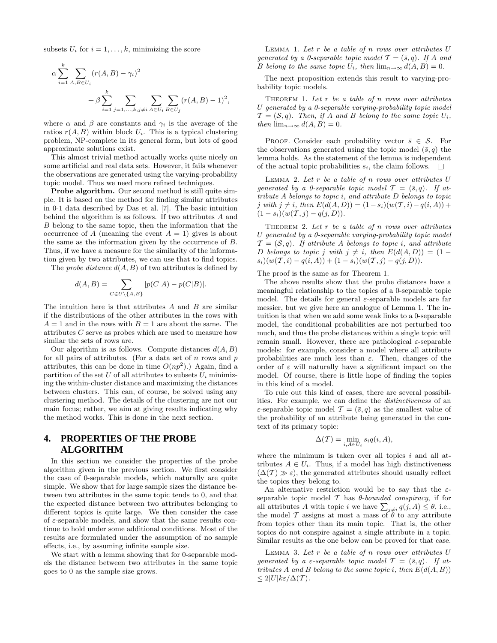subsets  $U_i$  for  $i = 1, \ldots, k$ , minimizing the score

$$
\alpha \sum_{i=1}^{k} \sum_{A,B \in U_i} (r(A,B) - \gamma_i)^2 + \beta \sum_{i=1}^{k} \sum_{j=1,...,k, j \neq i} \sum_{A \in U_i} \sum_{B \in U_j} (r(A,B) - 1)^2,
$$

where  $\alpha$  and  $\beta$  are constants and  $\gamma_i$  is the average of the ratios  $r(A, B)$  within block  $U_i$ . This is a typical clustering problem, NP-complete in its general form, but lots of good approximate solutions exist.

This almost trivial method actually works quite nicely on some artificial and real data sets. However, it fails whenever the observations are generated using the varying-probability topic model. Thus we need more refined techniques.

Probe algorithm. Our second method is still quite simple. It is based on the method for finding similar attributes in 0-1 data described by Das et al. [7]. The basic intuition behind the algorithm is as follows. If two attributes A and B belong to the same topic, then the information that the occurrence of A (meaning the event  $A = 1$ ) gives is about the same as the information given by the occurrence of B. Thus, if we have a measure for the similarity of the information given by two attributes, we can use that to find topics.

The *probe distance*  $d(A, B)$  of two attributes is defined by

$$
d(A, B) = \sum_{C \in U \setminus \{A, B\}} |p(C|A) - p(C|B)|.
$$

The intuition here is that attributes A and B are similar if the distributions of the other attributes in the rows with  $A = 1$  and in the rows with  $B = 1$  are about the same. The attributes C serve as probes which are used to measure how similar the sets of rows are.

Our algorithm is as follows. Compute distances  $d(A, B)$ for all pairs of attributes. (For a data set of  $n$  rows and  $p$ ) attributes, this can be done in time  $O(np^2)$ .) Again, find a partition of the set U of all attributes to subsets  $U_i$  minimizing the within-cluster distance and maximizing the distances between clusters. This can, of course, be solved using any clustering method. The details of the clustering are not our main focus; rather, we aim at giving results indicating why the method works. This is done in the next section.

# **4. PROPERTIES OF THE PROBE ALGORITHM**

In this section we consider the properties of the probe algorithm given in the previous section. We first consider the case of 0-separable models, which naturally are quite simple. We show that for large sample sizes the distance between two attributes in the same topic tends to 0, and that the expected distance between two attributes belonging to different topics is quite large. We then consider the case of  $\varepsilon$ -separable models, and show that the same results continue to hold under some additional conditions. Most of the results are formulated under the assumption of no sample effects, i.e., by assuming infinite sample size.

We start with a lemma showing that for 0-separable models the distance between two attributes in the same topic goes to 0 as the sample size grows.

LEMMA 1. Let  $r$  be a table of  $n$  rows over attributes  $U$ generated by a 0-separable topic model  $\mathcal{T} = (\bar{s}, q)$ . If A and B belong to the same topic  $U_i$ , then  $\lim_{n\to\infty} d(A, B) = 0$ .

The next proposition extends this result to varying-probability topic models.

THEOREM 1. Let  $r$  be a table of  $n$  rows over attributes U generated by a 0-separable varying-probability topic model  $\mathcal{T} = (\mathcal{S}, q)$ . Then, if A and B belong to the same topic  $U_i$ , then  $\lim_{n\to\infty} d(A, B) = 0$ .

PROOF. Consider each probability vector  $\bar{s} \in \mathcal{S}$ . For the observations generated using the topic model  $(\bar{s}, q)$  the lemma holds. As the statement of the lemma is independent of the actual topic probabilities  $s_i$ , the claim follows.  $\Box$ 

LEMMA 2. Let  $r$  be a table of  $n$  rows over attributes  $U$ generated by a 0-separable topic model  $\mathcal{T} = (\bar{s}, q)$ . If attribute A belongs to topic i, and attribute D belongs to topic j with j  $\neq i$ , then  $E(d(A, D)) = (1 - s_i)(w(T, i) - q(i, A)) +$  $(1 - s_i)(w(T, j) - q(j, D)).$ 

THEOREM 2. Let  $r$  be a table of  $n$  rows over attributes U generated by a 0-separable varying-probability topic model  $\mathcal{T} = (\mathcal{S}, q)$ . If attribute A belongs to topic i, and attribute D belongs to topic j with  $j \neq i$ , then  $E(d(A, D)) = (1$  $s_i)(w(\mathcal{T}, i) - q(i, A)) + (1 - s_i)(w(\mathcal{T}, j) - q(j, D)).$ 

The proof is the same as for Theorem 1.

The above results show that the probe distances have a meaningful relationship to the topics of a 0-separable topic model. The details for general  $\varepsilon$ -separable models are far messier, but we give here an analogue of Lemma 1. The intuition is that when we add some weak links to a 0-separable model, the conditional probabilities are not perturbed too much, and thus the probe distances within a single topic will remain small. However, there are pathological  $\varepsilon$ -separable models: for example, consider a model where all attribute probabilities are much less than  $\varepsilon$ . Then, changes of the order of  $\varepsilon$  will naturally have a significant impact on the model. Of course, there is little hope of finding the topics in this kind of a model.

To rule out this kind of cases, there are several possibilities. For example, we can define the distinctiveness of an  $\varepsilon$ -separable topic model  $\mathcal{T} = (\bar{s}, q)$  as the smallest value of the probability of an attribute being generated in the context of its primary topic:

$$
\Delta(\mathcal{T}) = \min_{i, A \in U_i} s_i q(i, A),
$$

where the minimum is taken over all topics  $i$  and all attributes  $A \in U_i$ . Thus, if a model has high distinctiveness  $(\Delta(\mathcal{T}) \gg \varepsilon)$ , the generated attributes should usually reflect the topics they belong to.

An alternative restriction would be to say that the  $\varepsilon$ separable topic model  $\mathcal T$  has  $\theta$ -bounded conspiracy, if for all attributes A with topic *i* we have  $\sum_{j\neq i} q(j, A) \leq \theta$ , i.e., the model T assigns at most a mass of  $\theta$  to any attribute from topics other than its main topic. That is, the other topics do not conspire against a single attribute in a topic. Similar results as the one below can be proved for that case.

LEMMA 3. Let  $r$  be a table of  $n$  rows over attributes  $U$ generated by a  $\varepsilon$ -separable topic model  $\mathcal{T} = (\bar{s}, q)$ . If attributes A and B belong to the same topic i, then  $E(d(A, B))$  $\leq 2|U|k\varepsilon/\Delta(\mathcal{T}).$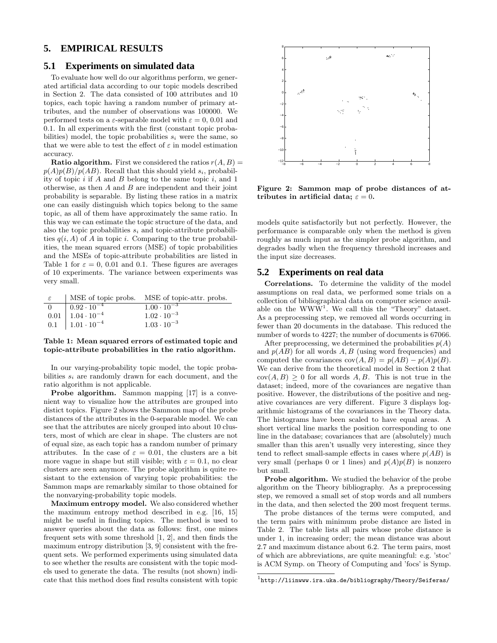#### **5. EMPIRICAL RESULTS**

#### **5.1 Experiments on simulated data**

To evaluate how well do our algorithms perform, we generated artificial data according to our topic models described in Section 2. The data consisted of 100 attributes and 10 topics, each topic having a random number of primary attributes, and the number of observations was 100000. We performed tests on a  $\varepsilon$ -separable model with  $\varepsilon = 0$ , 0.01 and 0.1. In all experiments with the first (constant topic probabilities) model, the topic probabilities  $s_i$  were the same, so that we were able to test the effect of  $\varepsilon$  in model estimation accuracy.

**Ratio algorithm.** First we considered the ratios  $r(A, B)$  =  $p(A)p(B)/p(AB)$ . Recall that this should yield  $s_i$ , probability of topic  $i$  if  $A$  and  $B$  belong to the same topic  $i$ , and  $1$ otherwise, as then  $A$  and  $B$  are independent and their joint probability is separable. By listing these ratios in a matrix one can easily distinguish which topics belong to the same topic, as all of them have approximately the same ratio. In this way we can estimate the topic structure of the data, and also the topic probabilities  $s_i$  and topic-attribute probabilities  $q(i, A)$  of A in topic i. Comparing to the true probabilities, the mean squared errors (MSE) of topic probabilities and the MSEs of topic-attribute probabilities are listed in Table 1 for  $\varepsilon = 0$ , 0.01 and 0.1. These figures are averages of 10 experiments. The variance between experiments was very small.

| $\varepsilon$ |                                                                                                                                                   | MSE of topic probs.  MSE of topic-attr. probs. |
|---------------|---------------------------------------------------------------------------------------------------------------------------------------------------|------------------------------------------------|
|               |                                                                                                                                                   | $1.00 \cdot 10^{-3}$                           |
|               |                                                                                                                                                   | $1.02 \cdot 10^{-3}$                           |
|               | $\begin{tabular}{ c c c } \hline 0 & 0.92 \cdot 10^{-4} \\ \hline 0.01 & 1.04 \cdot 10^{-4} \\ \hline 1.01 \cdot 10^{-4} \\ \hline \end{tabular}$ | $1.03 \cdot 10^{-3}$                           |

#### Table 1: Mean squared errors of estimated topic and topic-attribute probabilities in the ratio algorithm.

In our varying-probability topic model, the topic probabilities  $s_i$  are randomly drawn for each document, and the ratio algorithm is not applicable.

Probe algorithm. Sammon mapping [17] is a convenient way to visualize how the attributes are grouped into distict topics. Figure 2 shows the Sammon map of the probe distances of the attributes in the 0-separable model. We can see that the attributes are nicely grouped into about 10 clusters, most of which are clear in shape. The clusters are not of equal size, as each topic has a random number of primary attributes. In the case of  $\varepsilon = 0.01$ , the clusters are a bit more vague in shape but still visible; with  $\varepsilon = 0.1$ , no clear clusters are seen anymore. The probe algorithm is quite resistant to the extension of varying topic probabilities: the Sammon maps are remarkably similar to those obtained for the nonvarying-probability topic models.

Maximum entropy model. We also considered whether the maximum entropy method described in e.g. [16, 15] might be useful in finding topics. The method is used to answer queries about the data as follows: first, one mines frequent sets with some threshold [1, 2], and then finds the maximum entropy distribution [3, 9] consistent with the frequent sets. We performed experiments using simulated data to see whether the results are consistent with the topic models used to generate the data. The results (not shown) indicate that this method does find results consistent with topic



Figure 2: Sammon map of probe distances of attributes in artificial data;  $\varepsilon = 0$ .

models quite satisfactorily but not perfectly. However, the performance is comparable only when the method is given roughly as much input as the simpler probe algorithm, and degrades badly when the frequency threshold increases and the input size decreases.

### **5.2 Experiments on real data**

Correlations. To determine the validity of the model assumptions on real data, we performed some trials on a collection of bibliographical data on computer science available on the WWW<sup>1</sup>. We call this the "Theory" dataset. As a preprocessing step, we removed all words occurring in fewer than 20 documents in the database. This reduced the number of words to 4227; the number of documents is 67066.

After preprocessing, we determined the probabilities  $p(A)$ and  $p(AB)$  for all words A, B (using word frequencies) and computed the covariances  $cov(A, B) = p(AB) - p(A)p(B)$ . We can derive from the theoretical model in Section 2 that  $cov(A, B) > 0$  for all words A, B. This is not true in the dataset; indeed, more of the covariances are negative than positive. However, the distributions of the positive and negative covariances are very different. Figure 3 displays logarithmic histograms of the covariances in the Theory data. The histograms have been scaled to have equal areas. A short vertical line marks the position corresponding to one line in the database; covariances that are (absolutely) much smaller than this aren't usually very interesting, since they tend to reflect small-sample effects in cases where  $p(AB)$  is very small (perhaps 0 or 1 lines) and  $p(A)p(B)$  is nonzero but small.

Probe algorithm. We studied the behavior of the probe algorithm on the Theory bibliography. As a preprocessing step, we removed a small set of stop words and all numbers in the data, and then selected the 200 most frequent terms.

The probe distances of the terms were computed, and the term pairs with minimum probe distance are listed in Table 2. The table lists all pairs whose probe distance is under 1, in increasing order; the mean distance was about 2.7 and maximum distance about 6.2. The term pairs, most of which are abbreviations, are quite meaningful: e.g. 'stoc' is ACM Symp. on Theory of Computing and 'focs' is Symp.

 $^{\rm 1}$ http://liinwww.ira.uka.de/bibliography/Theory/Seiferas/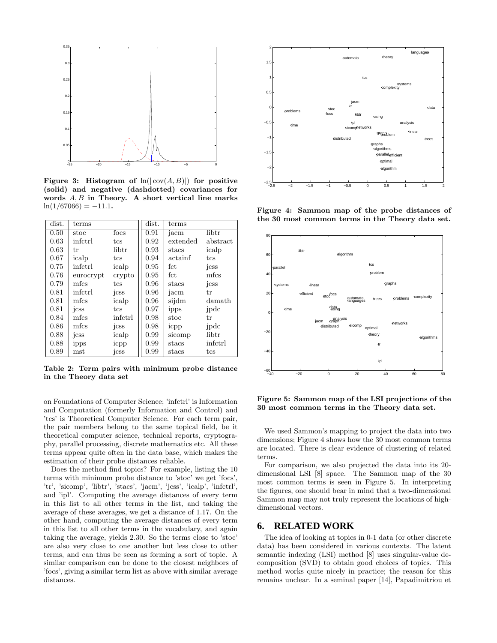

Figure 3: Histogram of  $ln(|cov(A, B)|)$  for positive (solid) and negative (dashdotted) covariances for words  $A, B$  in Theory. A short vertical line marks  $ln(1/67066) = -11.1.$ 

| dist. | terms     |         | dist. | terms    |          |
|-------|-----------|---------|-------|----------|----------|
| 0.50  | stoc      | focs    | 0.91  | jacm     | libtr    |
| 0.63  | infetrl   | tcs     | 0.92  | extended | abstract |
| 0.63  | tr        | libtr   | 0.93  | stacs    | icalp    |
| 0.67  | icalp     | tcs     | 0.94  | actainf  | tcs      |
| 0.75  | infetrl   | icalp   | 0.95  | fct      | jcss     |
| 0.76  | eurocrypt | crypto  | 0.95  | fct      | mfcs     |
| 0.79  | mfcs      | tcs     | 0.96  | stacs    | jcss     |
| 0.81  | infetrl   | jcss    | 0.96  | jacm     | tr       |
| 0.81  | mfcs      | icalp   | 0.96  | sijdm    | damath   |
| 0.81  | jcss      | tcs     | 0.97  | ipps     | jpdc     |
| 0.84  | mfcs      | infctrl | 0.98  | stoc     | tr       |
| 0.86  | mfcs      | jcss    | 0.98  | icpp     | jpdc     |
| 0.88  | icss      | icalp   | 0.99  | sicomp   | libtr    |
| 0.88  | ipps      | icpp    | 0.99  | stacs    | infetrl  |
| 0.89  | mst       | jcss    | 0.99  | stacs    | tcs      |

Table 2: Term pairs with minimum probe distance in the Theory data set

on Foundations of Computer Science; 'infctrl' is Information and Computation (formerly Information and Control) and 'tcs' is Theoretical Computer Science. For each term pair, the pair members belong to the same topical field, be it theoretical computer science, technical reports, cryptography, parallel processing, discrete mathematics etc. All these terms appear quite often in the data base, which makes the estimation of their probe distances reliable.

Does the method find topics? For example, listing the 10 terms with minimum probe distance to 'stoc' we get 'focs', 'tr', 'sicomp', 'libtr', 'stacs', 'jacm', 'jcss', 'icalp', 'infctrl', and 'ipl'. Computing the average distances of every term in this list to all other terms in the list, and taking the average of these averages, we get a distance of 1.17. On the other hand, computing the average distances of every term in this list to all other terms in the vocabulary, and again taking the average, yields 2.30. So the terms close to 'stoc' are also very close to one another but less close to other terms, and can thus be seen as forming a sort of topic. A similar comparison can be done to the closest neighbors of 'focs', giving a similar term list as above with similar average distances.



Figure 4: Sammon map of the probe distances of the 30 most common terms in the Theory data set.



Figure 5: Sammon map of the LSI projections of the 30 most common terms in the Theory data set.

We used Sammon's mapping to project the data into two dimensions; Figure 4 shows how the 30 most common terms are located. There is clear evidence of clustering of related terms.

For comparison, we also projected the data into its 20 dimensional LSI [8] space. The Sammon map of the 30 most common terms is seen in Figure 5. In interpreting the figures, one should bear in mind that a two-dimensional Sammon map may not truly represent the locations of highdimensional vectors.

#### **6. RELATED WORK**

The idea of looking at topics in 0-1 data (or other discrete data) has been considered in various contexts. The latent semantic indexing (LSI) method [8] uses singular-value decomposition (SVD) to obtain good choices of topics. This method works quite nicely in practice; the reason for this remains unclear. In a seminal paper [14], Papadimitriou et